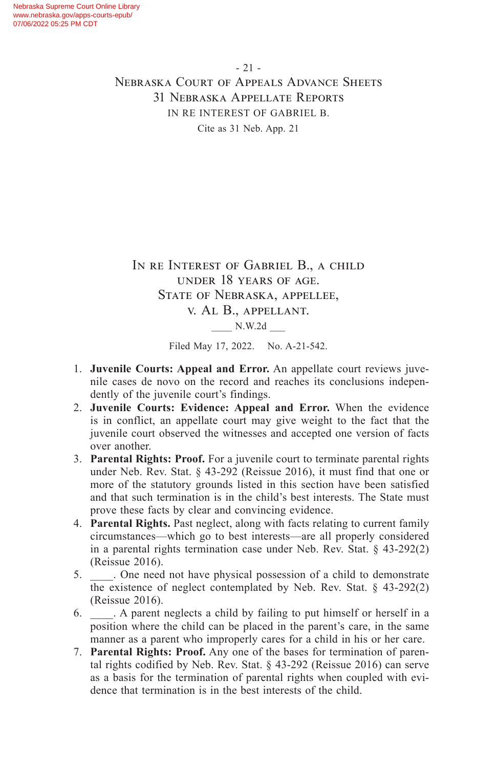IN RE INTEREST OF GABRIEL B., A CHILD under 18 years of age. State of Nebraska, appellee, v. Al B., appellant. \_\_\_\_ N.W.2d \_\_\_

Filed May 17, 2022. No. A-21-542.

- 1. **Juvenile Courts: Appeal and Error.** An appellate court reviews juvenile cases de novo on the record and reaches its conclusions independently of the juvenile court's findings.
- 2. **Juvenile Courts: Evidence: Appeal and Error.** When the evidence is in conflict, an appellate court may give weight to the fact that the juvenile court observed the witnesses and accepted one version of facts over another.
- 3. **Parental Rights: Proof.** For a juvenile court to terminate parental rights under Neb. Rev. Stat. § 43-292 (Reissue 2016), it must find that one or more of the statutory grounds listed in this section have been satisfied and that such termination is in the child's best interests. The State must prove these facts by clear and convincing evidence.
- 4. **Parental Rights.** Past neglect, along with facts relating to current family circumstances—which go to best interests—are all properly considered in a parental rights termination case under Neb. Rev. Stat. § 43-292(2) (Reissue 2016).
- 5. \_\_\_\_. One need not have physical possession of a child to demonstrate the existence of neglect contemplated by Neb. Rev. Stat. § 43-292(2) (Reissue 2016).
- 6. \_\_\_\_. A parent neglects a child by failing to put himself or herself in a position where the child can be placed in the parent's care, in the same manner as a parent who improperly cares for a child in his or her care.
- 7. **Parental Rights: Proof.** Any one of the bases for termination of parental rights codified by Neb. Rev. Stat. § 43-292 (Reissue 2016) can serve as a basis for the termination of parental rights when coupled with evidence that termination is in the best interests of the child.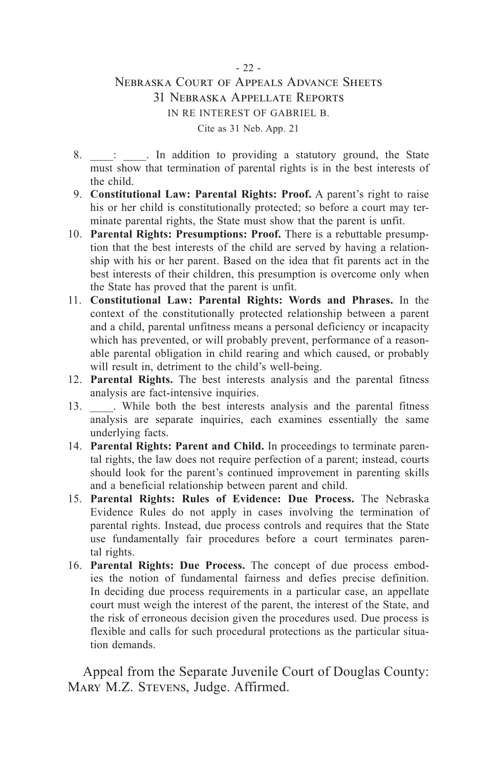- 8.  $\therefore$  In addition to providing a statutory ground, the State must show that termination of parental rights is in the best interests of the child.
- 9. **Constitutional Law: Parental Rights: Proof.** A parent's right to raise his or her child is constitutionally protected; so before a court may terminate parental rights, the State must show that the parent is unfit.
- 10. **Parental Rights: Presumptions: Proof.** There is a rebuttable presumption that the best interests of the child are served by having a relationship with his or her parent. Based on the idea that fit parents act in the best interests of their children, this presumption is overcome only when the State has proved that the parent is unfit.
- 11. **Constitutional Law: Parental Rights: Words and Phrases.** In the context of the constitutionally protected relationship between a parent and a child, parental unfitness means a personal deficiency or incapacity which has prevented, or will probably prevent, performance of a reasonable parental obligation in child rearing and which caused, or probably will result in, detriment to the child's well-being.
- 12. **Parental Rights.** The best interests analysis and the parental fitness analysis are fact-intensive inquiries.
- 13. While both the best interests analysis and the parental fitness analysis are separate inquiries, each examines essentially the same underlying facts.
- 14. **Parental Rights: Parent and Child.** In proceedings to terminate parental rights, the law does not require perfection of a parent; instead, courts should look for the parent's continued improvement in parenting skills and a beneficial relationship between parent and child.
- 15. **Parental Rights: Rules of Evidence: Due Process.** The Nebraska Evidence Rules do not apply in cases involving the termination of parental rights. Instead, due process controls and requires that the State use fundamentally fair procedures before a court terminates parental rights.
- 16. **Parental Rights: Due Process.** The concept of due process embodies the notion of fundamental fairness and defies precise definition. In deciding due process requirements in a particular case, an appellate court must weigh the interest of the parent, the interest of the State, and the risk of erroneous decision given the procedures used. Due process is flexible and calls for such procedural protections as the particular situation demands.

Appeal from the Separate Juvenile Court of Douglas County: MARY M.Z. STEVENS, Judge. Affirmed.

#### - 22 -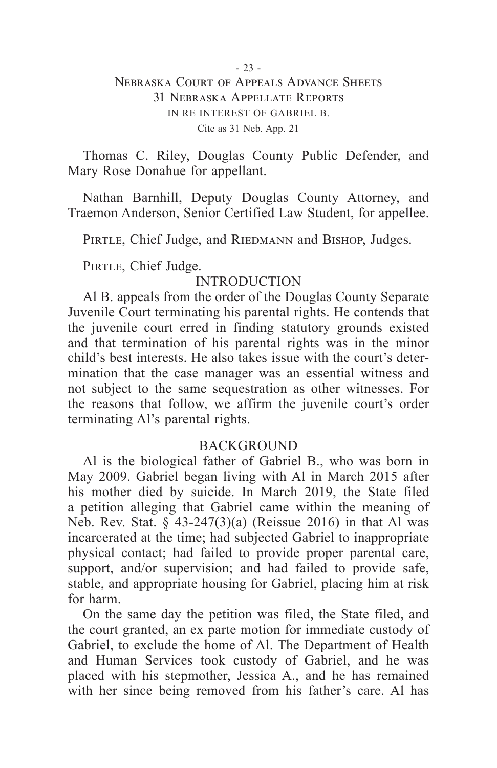Thomas C. Riley, Douglas County Public Defender, and Mary Rose Donahue for appellant.

Nathan Barnhill, Deputy Douglas County Attorney, and Traemon Anderson, Senior Certified Law Student, for appellee.

PIRTLE, Chief Judge, and RIEDMANN and BISHOP, Judges.

PIRTLE, Chief Judge.

#### INTRODUCTION

Al B. appeals from the order of the Douglas County Separate Juvenile Court terminating his parental rights. He contends that the juvenile court erred in finding statutory grounds existed and that termination of his parental rights was in the minor child's best interests. He also takes issue with the court's determination that the case manager was an essential witness and not subject to the same sequestration as other witnesses. For the reasons that follow, we affirm the juvenile court's order terminating Al's parental rights.

#### BACKGROUND

Al is the biological father of Gabriel B., who was born in May 2009. Gabriel began living with Al in March 2015 after his mother died by suicide. In March 2019, the State filed a petition alleging that Gabriel came within the meaning of Neb. Rev. Stat.  $\S$  43-247(3)(a) (Reissue 2016) in that Al was incarcerated at the time; had subjected Gabriel to inappropriate physical contact; had failed to provide proper parental care, support, and/or supervision; and had failed to provide safe, stable, and appropriate housing for Gabriel, placing him at risk for harm.

On the same day the petition was filed, the State filed, and the court granted, an ex parte motion for immediate custody of Gabriel, to exclude the home of Al. The Department of Health and Human Services took custody of Gabriel, and he was placed with his stepmother, Jessica A., and he has remained with her since being removed from his father's care. Al has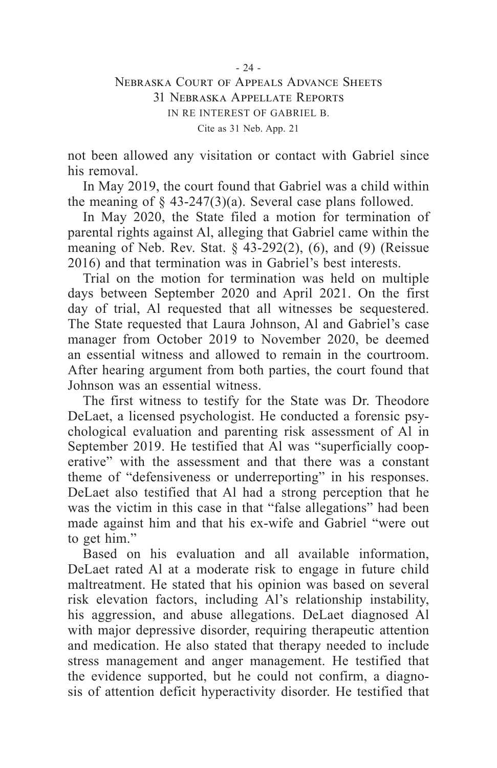not been allowed any visitation or contact with Gabriel since his removal.

In May 2019, the court found that Gabriel was a child within the meaning of  $\S$  43-247(3)(a). Several case plans followed.

In May 2020, the State filed a motion for termination of parental rights against Al, alleging that Gabriel came within the meaning of Neb. Rev. Stat.  $\S$  43-292(2), (6), and (9) (Reissue 2016) and that termination was in Gabriel's best interests.

Trial on the motion for termination was held on multiple days between September 2020 and April 2021. On the first day of trial, Al requested that all witnesses be sequestered. The State requested that Laura Johnson, Al and Gabriel's case manager from October 2019 to November 2020, be deemed an essential witness and allowed to remain in the courtroom. After hearing argument from both parties, the court found that Johnson was an essential witness.

The first witness to testify for the State was Dr. Theodore DeLaet, a licensed psychologist. He conducted a forensic psychological evaluation and parenting risk assessment of Al in September 2019. He testified that Al was "superficially cooperative" with the assessment and that there was a constant theme of "defensiveness or underreporting" in his responses. DeLaet also testified that Al had a strong perception that he was the victim in this case in that "false allegations" had been made against him and that his ex-wife and Gabriel "were out to get him."

Based on his evaluation and all available information, DeLaet rated Al at a moderate risk to engage in future child maltreatment. He stated that his opinion was based on several risk elevation factors, including Al's relationship instability, his aggression, and abuse allegations. DeLaet diagnosed Al with major depressive disorder, requiring therapeutic attention and medication. He also stated that therapy needed to include stress management and anger management. He testified that the evidence supported, but he could not confirm, a diagnosis of attention deficit hyperactivity disorder. He testified that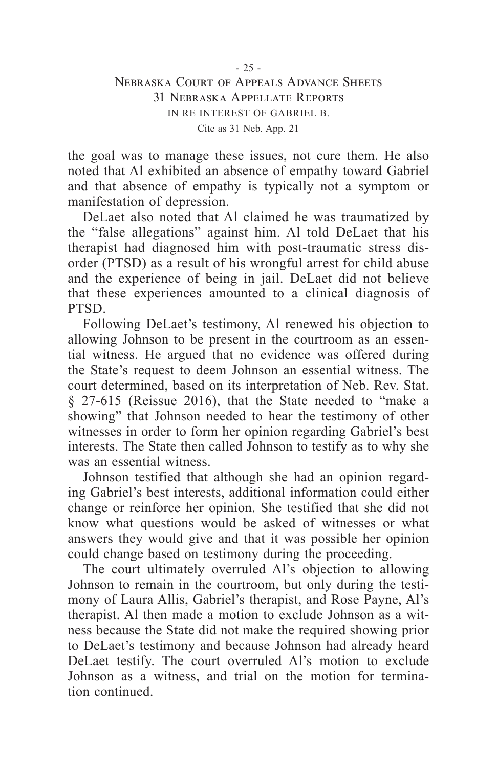the goal was to manage these issues, not cure them. He also noted that Al exhibited an absence of empathy toward Gabriel and that absence of empathy is typically not a symptom or manifestation of depression.

DeLaet also noted that Al claimed he was traumatized by the "false allegations" against him. Al told DeLaet that his therapist had diagnosed him with post-traumatic stress disorder (PTSD) as a result of his wrongful arrest for child abuse and the experience of being in jail. DeLaet did not believe that these experiences amounted to a clinical diagnosis of PTSD.

Following DeLaet's testimony, Al renewed his objection to allowing Johnson to be present in the courtroom as an essential witness. He argued that no evidence was offered during the State's request to deem Johnson an essential witness. The court determined, based on its interpretation of Neb. Rev. Stat. § 27-615 (Reissue 2016), that the State needed to "make a showing" that Johnson needed to hear the testimony of other witnesses in order to form her opinion regarding Gabriel's best interests. The State then called Johnson to testify as to why she was an essential witness.

Johnson testified that although she had an opinion regarding Gabriel's best interests, additional information could either change or reinforce her opinion. She testified that she did not know what questions would be asked of witnesses or what answers they would give and that it was possible her opinion could change based on testimony during the proceeding.

The court ultimately overruled Al's objection to allowing Johnson to remain in the courtroom, but only during the testimony of Laura Allis, Gabriel's therapist, and Rose Payne, Al's therapist. Al then made a motion to exclude Johnson as a witness because the State did not make the required showing prior to DeLaet's testimony and because Johnson had already heard DeLaet testify. The court overruled Al's motion to exclude Johnson as a witness, and trial on the motion for termination continued.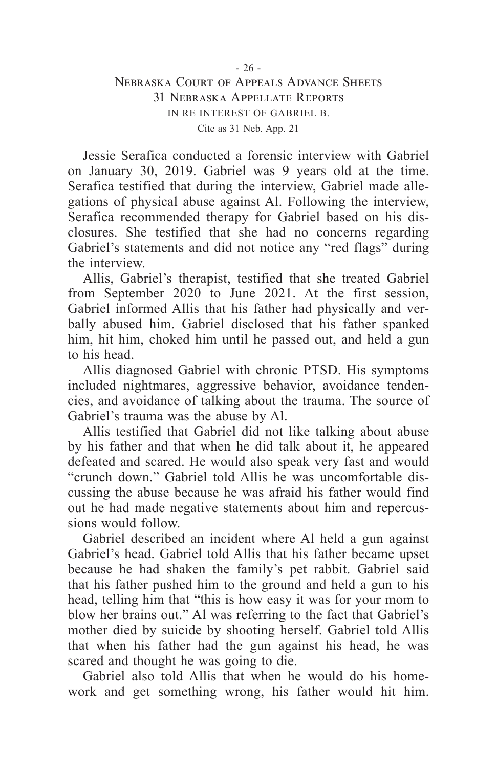Jessie Serafica conducted a forensic interview with Gabriel on January 30, 2019. Gabriel was 9 years old at the time. Serafica testified that during the interview, Gabriel made allegations of physical abuse against Al. Following the interview, Serafica recommended therapy for Gabriel based on his disclosures. She testified that she had no concerns regarding Gabriel's statements and did not notice any "red flags" during the interview.

Allis, Gabriel's therapist, testified that she treated Gabriel from September 2020 to June 2021. At the first session, Gabriel informed Allis that his father had physically and verbally abused him. Gabriel disclosed that his father spanked him, hit him, choked him until he passed out, and held a gun to his head.

Allis diagnosed Gabriel with chronic PTSD. His symptoms included nightmares, aggressive behavior, avoidance tendencies, and avoidance of talking about the trauma. The source of Gabriel's trauma was the abuse by Al.

Allis testified that Gabriel did not like talking about abuse by his father and that when he did talk about it, he appeared defeated and scared. He would also speak very fast and would "crunch down." Gabriel told Allis he was uncomfortable discussing the abuse because he was afraid his father would find out he had made negative statements about him and repercussions would follow.

Gabriel described an incident where Al held a gun against Gabriel's head. Gabriel told Allis that his father became upset because he had shaken the family's pet rabbit. Gabriel said that his father pushed him to the ground and held a gun to his head, telling him that "this is how easy it was for your mom to blow her brains out." Al was referring to the fact that Gabriel's mother died by suicide by shooting herself. Gabriel told Allis that when his father had the gun against his head, he was scared and thought he was going to die.

Gabriel also told Allis that when he would do his homework and get something wrong, his father would hit him.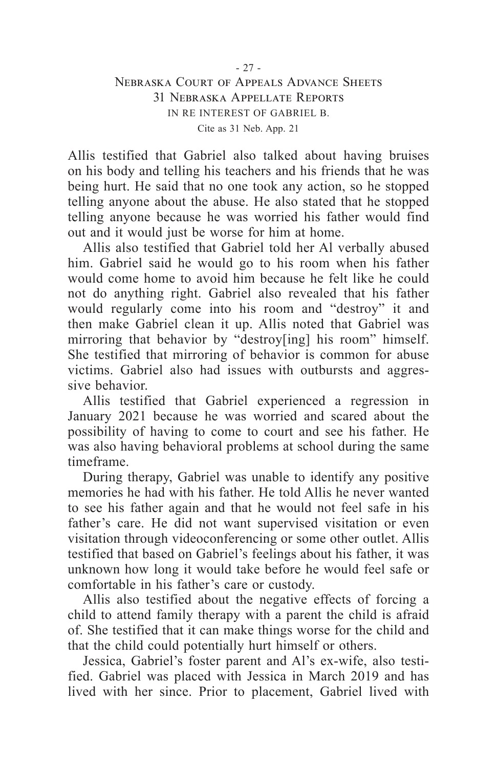Allis testified that Gabriel also talked about having bruises on his body and telling his teachers and his friends that he was being hurt. He said that no one took any action, so he stopped telling anyone about the abuse. He also stated that he stopped telling anyone because he was worried his father would find out and it would just be worse for him at home.

Allis also testified that Gabriel told her Al verbally abused him. Gabriel said he would go to his room when his father would come home to avoid him because he felt like he could not do anything right. Gabriel also revealed that his father would regularly come into his room and "destroy" it and then make Gabriel clean it up. Allis noted that Gabriel was mirroring that behavior by "destroy[ing] his room" himself. She testified that mirroring of behavior is common for abuse victims. Gabriel also had issues with outbursts and aggressive behavior.

Allis testified that Gabriel experienced a regression in January 2021 because he was worried and scared about the possibility of having to come to court and see his father. He was also having behavioral problems at school during the same timeframe.

During therapy, Gabriel was unable to identify any positive memories he had with his father. He told Allis he never wanted to see his father again and that he would not feel safe in his father's care. He did not want supervised visitation or even visitation through videoconferencing or some other outlet. Allis testified that based on Gabriel's feelings about his father, it was unknown how long it would take before he would feel safe or comfortable in his father's care or custody.

Allis also testified about the negative effects of forcing a child to attend family therapy with a parent the child is afraid of. She testified that it can make things worse for the child and that the child could potentially hurt himself or others.

Jessica, Gabriel's foster parent and Al's ex-wife, also testified. Gabriel was placed with Jessica in March 2019 and has lived with her since. Prior to placement, Gabriel lived with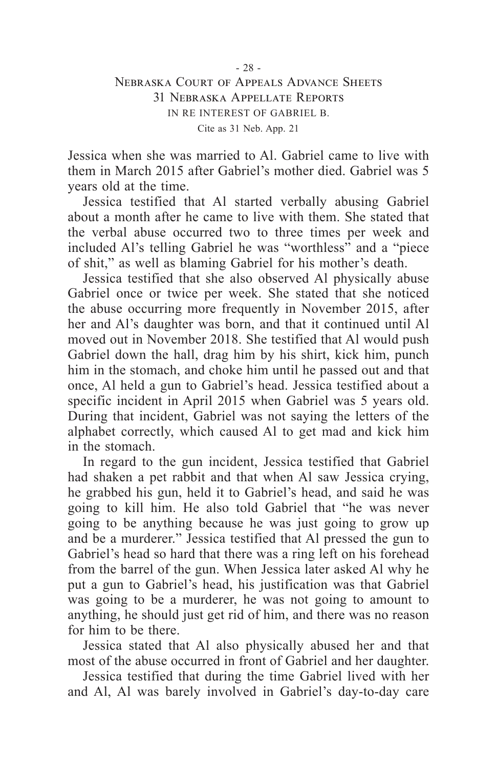Jessica when she was married to Al. Gabriel came to live with them in March 2015 after Gabriel's mother died. Gabriel was 5 years old at the time.

Jessica testified that Al started verbally abusing Gabriel about a month after he came to live with them. She stated that the verbal abuse occurred two to three times per week and included Al's telling Gabriel he was "worthless" and a "piece of shit," as well as blaming Gabriel for his mother's death.

Jessica testified that she also observed Al physically abuse Gabriel once or twice per week. She stated that she noticed the abuse occurring more frequently in November 2015, after her and Al's daughter was born, and that it continued until Al moved out in November 2018. She testified that Al would push Gabriel down the hall, drag him by his shirt, kick him, punch him in the stomach, and choke him until he passed out and that once, Al held a gun to Gabriel's head. Jessica testified about a specific incident in April 2015 when Gabriel was 5 years old. During that incident, Gabriel was not saying the letters of the alphabet correctly, which caused Al to get mad and kick him in the stomach.

In regard to the gun incident, Jessica testified that Gabriel had shaken a pet rabbit and that when Al saw Jessica crying, he grabbed his gun, held it to Gabriel's head, and said he was going to kill him. He also told Gabriel that "he was never going to be anything because he was just going to grow up and be a murderer." Jessica testified that Al pressed the gun to Gabriel's head so hard that there was a ring left on his forehead from the barrel of the gun. When Jessica later asked Al why he put a gun to Gabriel's head, his justification was that Gabriel was going to be a murderer, he was not going to amount to anything, he should just get rid of him, and there was no reason for him to be there.

Jessica stated that Al also physically abused her and that most of the abuse occurred in front of Gabriel and her daughter.

Jessica testified that during the time Gabriel lived with her and Al, Al was barely involved in Gabriel's day-to-day care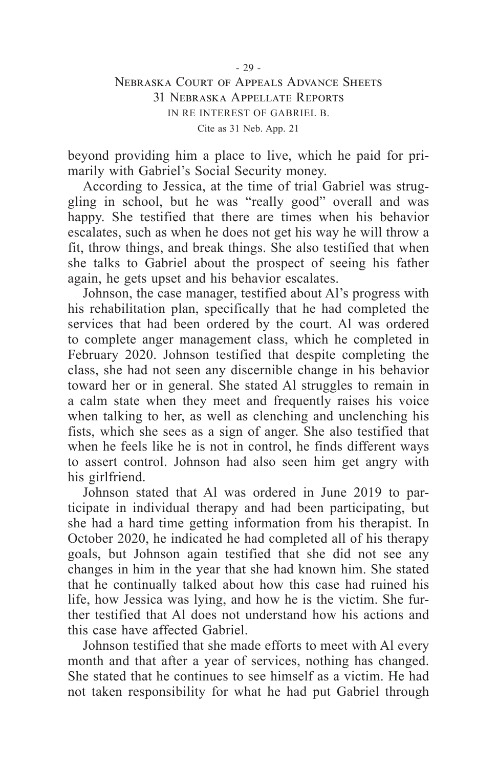beyond providing him a place to live, which he paid for primarily with Gabriel's Social Security money.

According to Jessica, at the time of trial Gabriel was struggling in school, but he was "really good" overall and was happy. She testified that there are times when his behavior escalates, such as when he does not get his way he will throw a fit, throw things, and break things. She also testified that when she talks to Gabriel about the prospect of seeing his father again, he gets upset and his behavior escalates.

Johnson, the case manager, testified about Al's progress with his rehabilitation plan, specifically that he had completed the services that had been ordered by the court. Al was ordered to complete anger management class, which he completed in February 2020. Johnson testified that despite completing the class, she had not seen any discernible change in his behavior toward her or in general. She stated Al struggles to remain in a calm state when they meet and frequently raises his voice when talking to her, as well as clenching and unclenching his fists, which she sees as a sign of anger. She also testified that when he feels like he is not in control, he finds different ways to assert control. Johnson had also seen him get angry with his girlfriend.

Johnson stated that Al was ordered in June 2019 to participate in individual therapy and had been participating, but she had a hard time getting information from his therapist. In October 2020, he indicated he had completed all of his therapy goals, but Johnson again testified that she did not see any changes in him in the year that she had known him. She stated that he continually talked about how this case had ruined his life, how Jessica was lying, and how he is the victim. She further testified that Al does not understand how his actions and this case have affected Gabriel.

Johnson testified that she made efforts to meet with Al every month and that after a year of services, nothing has changed. She stated that he continues to see himself as a victim. He had not taken responsibility for what he had put Gabriel through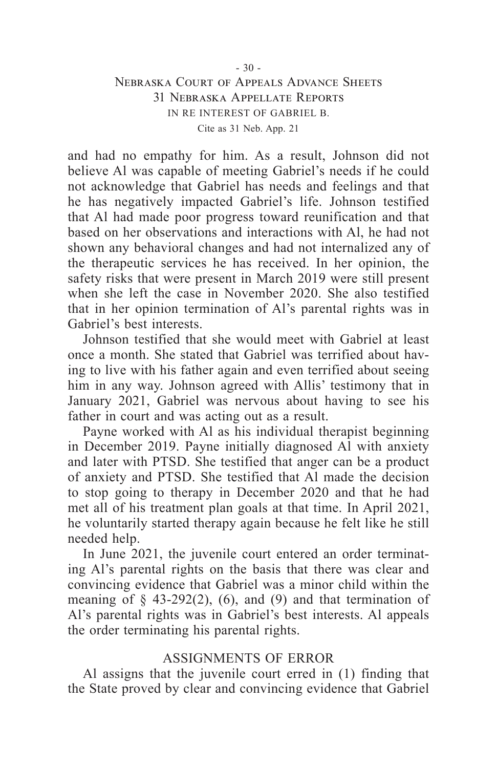and had no empathy for him. As a result, Johnson did not believe Al was capable of meeting Gabriel's needs if he could not acknowledge that Gabriel has needs and feelings and that he has negatively impacted Gabriel's life. Johnson testified that Al had made poor progress toward reunification and that based on her observations and interactions with Al, he had not shown any behavioral changes and had not internalized any of the therapeutic services he has received. In her opinion, the safety risks that were present in March 2019 were still present when she left the case in November 2020. She also testified that in her opinion termination of Al's parental rights was in Gabriel's best interests.

Johnson testified that she would meet with Gabriel at least once a month. She stated that Gabriel was terrified about having to live with his father again and even terrified about seeing him in any way. Johnson agreed with Allis' testimony that in January 2021, Gabriel was nervous about having to see his father in court and was acting out as a result.

Payne worked with Al as his individual therapist beginning in December 2019. Payne initially diagnosed Al with anxiety and later with PTSD. She testified that anger can be a product of anxiety and PTSD. She testified that Al made the decision to stop going to therapy in December 2020 and that he had met all of his treatment plan goals at that time. In April 2021, he voluntarily started therapy again because he felt like he still needed help.

In June 2021, the juvenile court entered an order terminating Al's parental rights on the basis that there was clear and convincing evidence that Gabriel was a minor child within the meaning of  $\S$  43-292(2), (6), and (9) and that termination of Al's parental rights was in Gabriel's best interests. Al appeals the order terminating his parental rights.

#### ASSIGNMENTS OF ERROR

Al assigns that the juvenile court erred in (1) finding that the State proved by clear and convincing evidence that Gabriel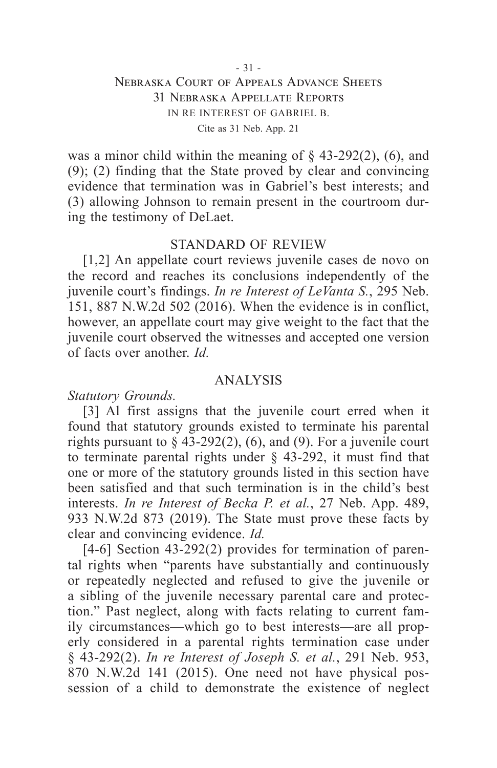was a minor child within the meaning of  $\S$  43-292(2), (6), and (9); (2) finding that the State proved by clear and convincing evidence that termination was in Gabriel's best interests; and (3) allowing Johnson to remain present in the courtroom during the testimony of DeLaet.

#### STANDARD OF REVIEW

[1,2] An appellate court reviews juvenile cases de novo on the record and reaches its conclusions independently of the juvenile court's findings. *In re Interest of LeVanta S.*, 295 Neb. 151, 887 N.W.2d 502 (2016). When the evidence is in conflict, however, an appellate court may give weight to the fact that the juvenile court observed the witnesses and accepted one version of facts over another. *Id.*

#### ANALYSIS

*Statutory Grounds.*

[3] Al first assigns that the juvenile court erred when it found that statutory grounds existed to terminate his parental rights pursuant to  $\hat{\S}$  43-292(2), (6), and (9). For a juvenile court to terminate parental rights under § 43-292, it must find that one or more of the statutory grounds listed in this section have been satisfied and that such termination is in the child's best interests. *In re Interest of Becka P. et al.*, 27 Neb. App. 489, 933 N.W.2d 873 (2019). The State must prove these facts by clear and convincing evidence. *Id.*

[4-6] Section 43-292(2) provides for termination of parental rights when "parents have substantially and continuously or repeatedly neglected and refused to give the juvenile or a sibling of the juvenile necessary parental care and protection." Past neglect, along with facts relating to current family circumstances—which go to best interests—are all properly considered in a parental rights termination case under § 43-292(2). *In re Interest of Joseph S. et al.*, 291 Neb. 953, 870 N.W.2d 141 (2015). One need not have physical possession of a child to demonstrate the existence of neglect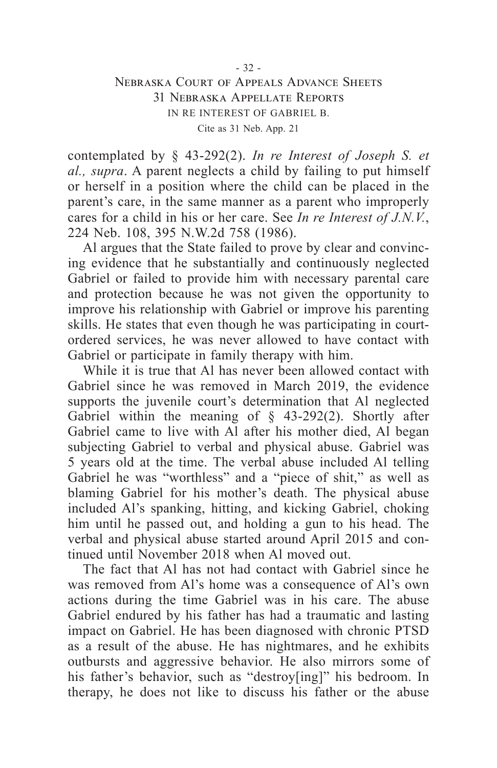contemplated by § 43-292(2). *In re Interest of Joseph S. et al., supra*. A parent neglects a child by failing to put himself or herself in a position where the child can be placed in the parent's care, in the same manner as a parent who improperly cares for a child in his or her care. See *In re Interest of J.N.V.*, 224 Neb. 108, 395 N.W.2d 758 (1986).

Al argues that the State failed to prove by clear and convincing evidence that he substantially and continuously neglected Gabriel or failed to provide him with necessary parental care and protection because he was not given the opportunity to improve his relationship with Gabriel or improve his parenting skills. He states that even though he was participating in courtordered services, he was never allowed to have contact with Gabriel or participate in family therapy with him.

While it is true that Al has never been allowed contact with Gabriel since he was removed in March 2019, the evidence supports the juvenile court's determination that Al neglected Gabriel within the meaning of  $\S$  43-292(2). Shortly after Gabriel came to live with Al after his mother died, Al began subjecting Gabriel to verbal and physical abuse. Gabriel was 5 years old at the time. The verbal abuse included Al telling Gabriel he was "worthless" and a "piece of shit," as well as blaming Gabriel for his mother's death. The physical abuse included Al's spanking, hitting, and kicking Gabriel, choking him until he passed out, and holding a gun to his head. The verbal and physical abuse started around April 2015 and continued until November 2018 when Al moved out.

The fact that Al has not had contact with Gabriel since he was removed from Al's home was a consequence of Al's own actions during the time Gabriel was in his care. The abuse Gabriel endured by his father has had a traumatic and lasting impact on Gabriel. He has been diagnosed with chronic PTSD as a result of the abuse. He has nightmares, and he exhibits outbursts and aggressive behavior. He also mirrors some of his father's behavior, such as "destroy[ing]" his bedroom. In therapy, he does not like to discuss his father or the abuse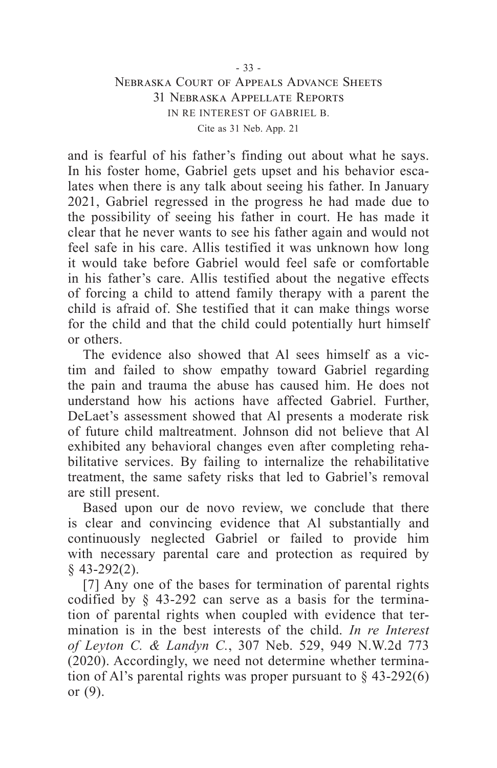and is fearful of his father's finding out about what he says. In his foster home, Gabriel gets upset and his behavior escalates when there is any talk about seeing his father. In January 2021, Gabriel regressed in the progress he had made due to the possibility of seeing his father in court. He has made it clear that he never wants to see his father again and would not feel safe in his care. Allis testified it was unknown how long it would take before Gabriel would feel safe or comfortable in his father's care. Allis testified about the negative effects of forcing a child to attend family therapy with a parent the child is afraid of. She testified that it can make things worse for the child and that the child could potentially hurt himself or others.

The evidence also showed that Al sees himself as a victim and failed to show empathy toward Gabriel regarding the pain and trauma the abuse has caused him. He does not understand how his actions have affected Gabriel. Further, DeLaet's assessment showed that Al presents a moderate risk of future child maltreatment. Johnson did not believe that Al exhibited any behavioral changes even after completing rehabilitative services. By failing to internalize the rehabilitative treatment, the same safety risks that led to Gabriel's removal are still present.

Based upon our de novo review, we conclude that there is clear and convincing evidence that Al substantially and continuously neglected Gabriel or failed to provide him with necessary parental care and protection as required by § 43-292(2).

[7] Any one of the bases for termination of parental rights codified by § 43-292 can serve as a basis for the termination of parental rights when coupled with evidence that termination is in the best interests of the child. *In re Interest of Leyton C. & Landyn C.*, 307 Neb. 529, 949 N.W.2d 773 (2020). Accordingly, we need not determine whether termination of Al's parental rights was proper pursuant to  $\S$  43-292(6) or (9).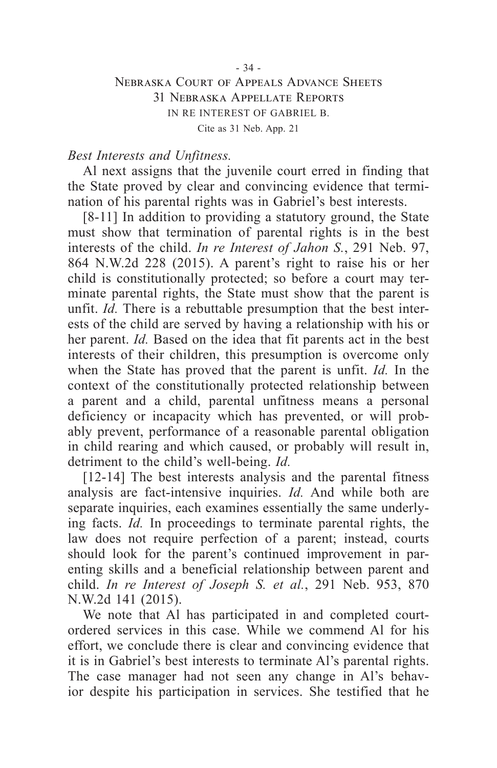#### *Best Interests and Unfitness.*

Al next assigns that the juvenile court erred in finding that the State proved by clear and convincing evidence that termination of his parental rights was in Gabriel's best interests.

[8-11] In addition to providing a statutory ground, the State must show that termination of parental rights is in the best interests of the child. *In re Interest of Jahon S.*, 291 Neb. 97, 864 N.W.2d 228 (2015). A parent's right to raise his or her child is constitutionally protected; so before a court may terminate parental rights, the State must show that the parent is unfit. *Id.* There is a rebuttable presumption that the best interests of the child are served by having a relationship with his or her parent. *Id.* Based on the idea that fit parents act in the best interests of their children, this presumption is overcome only when the State has proved that the parent is unfit. *Id.* In the context of the constitutionally protected relationship between a parent and a child, parental unfitness means a personal deficiency or incapacity which has prevented, or will probably prevent, performance of a reasonable parental obligation in child rearing and which caused, or probably will result in, detriment to the child's well-being. *Id.*

[12-14] The best interests analysis and the parental fitness analysis are fact-intensive inquiries. *Id.* And while both are separate inquiries, each examines essentially the same underlying facts. *Id.* In proceedings to terminate parental rights, the law does not require perfection of a parent; instead, courts should look for the parent's continued improvement in parenting skills and a beneficial relationship between parent and child. *In re Interest of Joseph S. et al.*, 291 Neb. 953, 870 N.W.2d 141 (2015).

We note that Al has participated in and completed courtordered services in this case. While we commend Al for his effort, we conclude there is clear and convincing evidence that it is in Gabriel's best interests to terminate Al's parental rights. The case manager had not seen any change in Al's behavior despite his participation in services. She testified that he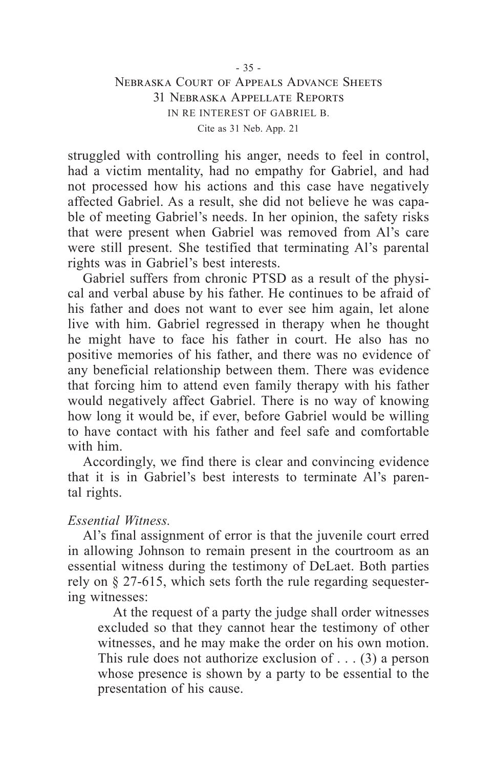struggled with controlling his anger, needs to feel in control, had a victim mentality, had no empathy for Gabriel, and had not processed how his actions and this case have negatively affected Gabriel. As a result, she did not believe he was capable of meeting Gabriel's needs. In her opinion, the safety risks that were present when Gabriel was removed from Al's care were still present. She testified that terminating Al's parental rights was in Gabriel's best interests.

Gabriel suffers from chronic PTSD as a result of the physical and verbal abuse by his father. He continues to be afraid of his father and does not want to ever see him again, let alone live with him. Gabriel regressed in therapy when he thought he might have to face his father in court. He also has no positive memories of his father, and there was no evidence of any beneficial relationship between them. There was evidence that forcing him to attend even family therapy with his father would negatively affect Gabriel. There is no way of knowing how long it would be, if ever, before Gabriel would be willing to have contact with his father and feel safe and comfortable with him.

Accordingly, we find there is clear and convincing evidence that it is in Gabriel's best interests to terminate Al's parental rights.

#### *Essential Witness.*

Al's final assignment of error is that the juvenile court erred in allowing Johnson to remain present in the courtroom as an essential witness during the testimony of DeLaet. Both parties rely on § 27-615, which sets forth the rule regarding sequestering witnesses:

At the request of a party the judge shall order witnesses excluded so that they cannot hear the testimony of other witnesses, and he may make the order on his own motion. This rule does not authorize exclusion of  $\dots$  (3) a person whose presence is shown by a party to be essential to the presentation of his cause.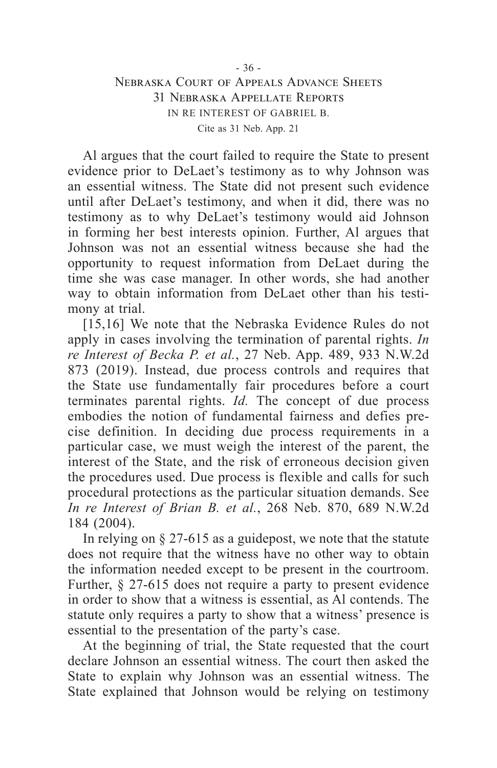Al argues that the court failed to require the State to present evidence prior to DeLaet's testimony as to why Johnson was an essential witness. The State did not present such evidence until after DeLaet's testimony, and when it did, there was no testimony as to why DeLaet's testimony would aid Johnson in forming her best interests opinion. Further, Al argues that Johnson was not an essential witness because she had the opportunity to request information from DeLaet during the time she was case manager. In other words, she had another way to obtain information from DeLaet other than his testimony at trial.

[15,16] We note that the Nebraska Evidence Rules do not apply in cases involving the termination of parental rights. *In re Interest of Becka P. et al.*, 27 Neb. App. 489, 933 N.W.2d 873 (2019). Instead, due process controls and requires that the State use fundamentally fair procedures before a court terminates parental rights. *Id.* The concept of due process embodies the notion of fundamental fairness and defies precise definition. In deciding due process requirements in a particular case, we must weigh the interest of the parent, the interest of the State, and the risk of erroneous decision given the procedures used. Due process is flexible and calls for such procedural protections as the particular situation demands. See *In re Interest of Brian B. et al.*, 268 Neb. 870, 689 N.W.2d 184 (2004).

In relying on  $\S 27-615$  as a guidepost, we note that the statute does not require that the witness have no other way to obtain the information needed except to be present in the courtroom. Further, § 27-615 does not require a party to present evidence in order to show that a witness is essential, as Al contends. The statute only requires a party to show that a witness' presence is essential to the presentation of the party's case.

At the beginning of trial, the State requested that the court declare Johnson an essential witness. The court then asked the State to explain why Johnson was an essential witness. The State explained that Johnson would be relying on testimony